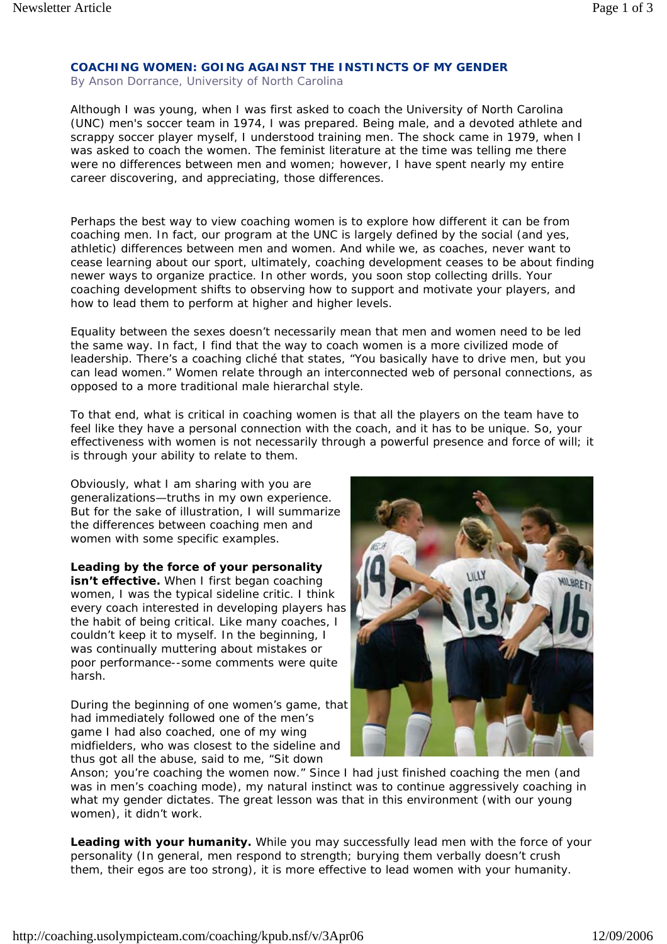## **COACHING WOMEN: GOING AGAINST THE INSTINCTS OF MY GENDER**

By Anson Dorrance, University of North Carolina

Although I was young, when I was first asked to coach the University of North Carolina (UNC) men's soccer team in 1974, I was prepared. Being male, and a devoted athlete and scrappy soccer player myself, I understood training men. The shock came in 1979, when I was asked to coach the women. The feminist literature at the time was telling me there were no differences between men and women; however, I have spent nearly my entire career discovering, and appreciating, those differences.

Perhaps the best way to view coaching women is to explore how different it can be from coaching men. In fact, our program at the UNC is largely defined by the social (and yes, athletic) differences between men and women. And while we, as coaches, never want to cease learning about our sport, ultimately, coaching development ceases to be about finding newer ways to organize practice. In other words, you soon stop collecting drills. Your coaching development shifts to observing how to support and motivate your players, and how to lead them to perform at higher and higher levels.

Equality between the sexes doesn't necessarily mean that men and women need to be led the same way. In fact, I find that the way to coach women is a more civilized mode of leadership. There's a coaching cliché that states, "You basically have to drive men, but you can lead women." Women relate through an interconnected web of personal connections, as opposed to a more traditional male hierarchal style.

To that end, what is critical in coaching women is that all the players on the team have to feel like they have a personal connection with the coach, and it has to be unique. So, your effectiveness with women is not necessarily through a powerful presence and force of will; it is through your ability to relate to them.

Obviously, what I am sharing with you are generalizations—truths in my own experience. But for the sake of illustration, I will summarize the differences between coaching men and women with some specific examples.

**Leading by the force of your personality isn't effective.** When I first began coaching women, I was the typical sideline critic. I think every coach interested in developing players has the habit of being critical. Like many coaches, I couldn't keep it to myself. In the beginning, I was continually muttering about mistakes or poor performance--some comments were quite harsh.

During the beginning of one women's game, that had immediately followed one of the men's game I had also coached, one of my wing midfielders, who was closest to the sideline and thus got all the abuse, said to me, "Sit down



Anson; you're coaching the women now." Since I had just finished coaching the men (and was in men's coaching mode), my natural instinct was to continue aggressively coaching in what my gender dictates. The great lesson was that in this environment (with our young women), it didn't work.

**Leading with your humanity.** While you may successfully lead men with the force of your personality (In general, men respond to strength; burying them verbally doesn't crush them, their egos are too strong), it is more effective to lead women with your humanity.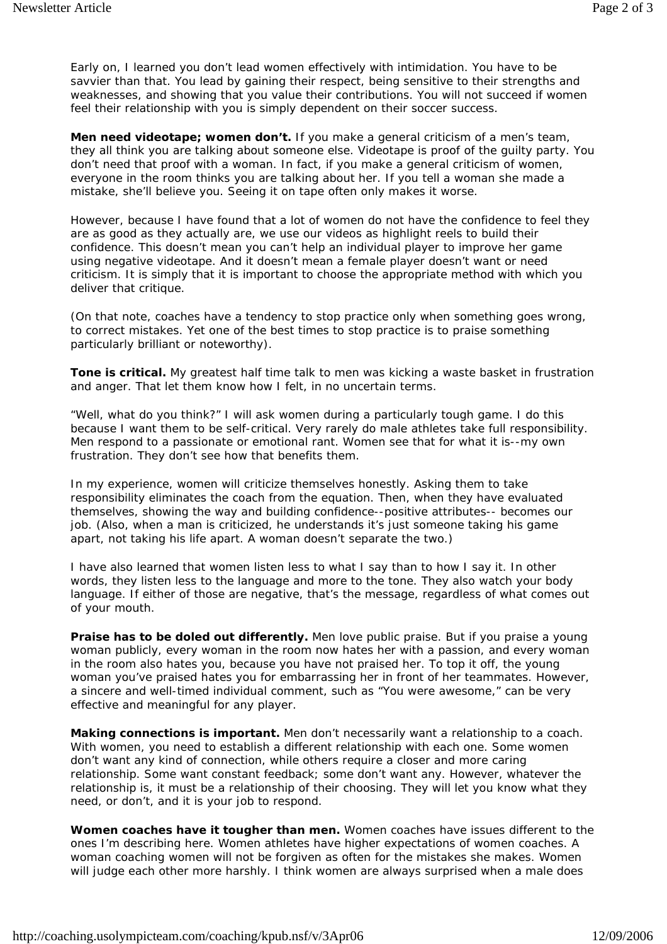Early on, I learned you don't lead women effectively with intimidation. You have to be savvier than that. You lead by gaining their respect, being sensitive to their strengths and weaknesses, and showing that you value their contributions. You will not succeed if women feel their relationship with you is simply dependent on their soccer success.

**Men need videotape; women don't.** If you make a general criticism of a men's team, they all think you are talking about someone else. Videotape is proof of the guilty party. You don't need that proof with a woman. In fact, if you make a general criticism of women, everyone in the room thinks you are talking about her. If you tell a woman she made a mistake, she'll believe you. Seeing it on tape often only makes it worse.

However, because I have found that a lot of women do not have the confidence to feel they are as good as they actually are, we use our videos as highlight reels to build their confidence. This doesn't mean you can't help an individual player to improve her game using negative videotape. And it doesn't mean a female player doesn't want or need criticism. It is simply that it is important to choose the appropriate method with which you deliver that critique.

(On that note, coaches have a tendency to stop practice only when something goes wrong, to correct mistakes. Yet one of the best times to stop practice is to praise something particularly brilliant or noteworthy).

**Tone is critical.** My greatest half time talk to men was kicking a waste basket in frustration and anger. That let them know how I felt, in no uncertain terms.

"Well, what do you think?" I will ask women during a particularly tough game. I do this because I want them to be self-critical. Very rarely do male athletes take full responsibility. Men respond to a passionate or emotional rant. Women see that for what it is--my own frustration. They don't see how that benefits them.

In my experience, women will criticize themselves honestly. Asking them to take responsibility eliminates the coach from the equation. Then, when they have evaluated themselves, showing the way and building confidence--positive attributes-- becomes our job. (Also, when a man is criticized, he understands it's just someone taking his game apart, not taking his life apart. A woman doesn't separate the two.)

I have also learned that women listen less to what I say than to how I say it. In other words, they listen less to the language and more to the tone. They also watch your body language. If either of those are negative, that's the message, regardless of what comes out of your mouth.

**Praise has to be doled out differently.** Men love public praise. But if you praise a young woman publicly, every woman in the room now hates her with a passion, and every woman in the room also hates you, because you have not praised her. To top it off, the young woman you've praised hates you for embarrassing her in front of her teammates. However, a sincere and well-timed individual comment, such as "You were awesome," can be very effective and meaningful for any player.

**Making connections is important.** Men don't necessarily want a relationship to a coach. With women, you need to establish a different relationship with each one. Some women don't want any kind of connection, while others require a closer and more caring relationship. Some want constant feedback; some don't want any. However, whatever the relationship is, it must be a relationship of their choosing. They will let you know what they need, or don't, and it is your job to respond.

**Women coaches have it tougher than men.** Women coaches have issues different to the ones I'm describing here. Women athletes have higher expectations of women coaches. A woman coaching women will not be forgiven as often for the mistakes she makes. Women will judge each other more harshly. I think women are always surprised when a male does